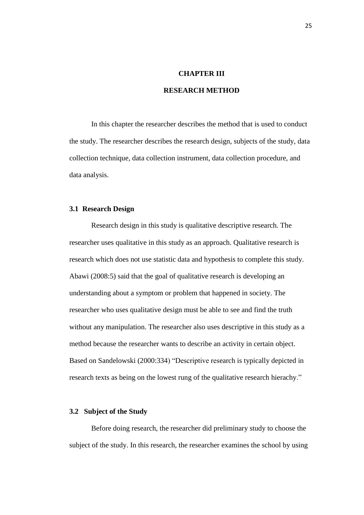### **CHAPTER III**

# **RESEARCH METHOD**

In this chapter the researcher describes the method that is used to conduct the study. The researcher describes the research design, subjects of the study, data collection technique, data collection instrument, data collection procedure, and data analysis.

#### **3.1 Research Design**

Research design in this study is qualitative descriptive research. The researcher uses qualitative in this study as an approach. Qualitative research is research which does not use statistic data and hypothesis to complete this study. Abawi (2008:5) said that the goal of qualitative research is developing an understanding about a symptom or problem that happened in society. The researcher who uses qualitative design must be able to see and find the truth without any manipulation. The researcher also uses descriptive in this study as a method because the researcher wants to describe an activity in certain object. Based on Sandelowski (2000:334) "Descriptive research is typically depicted in research texts as being on the lowest rung of the qualitative research hierachy."

# **3.2 Subject of the Study**

Before doing research, the researcher did preliminary study to choose the subject of the study. In this research, the researcher examines the school by using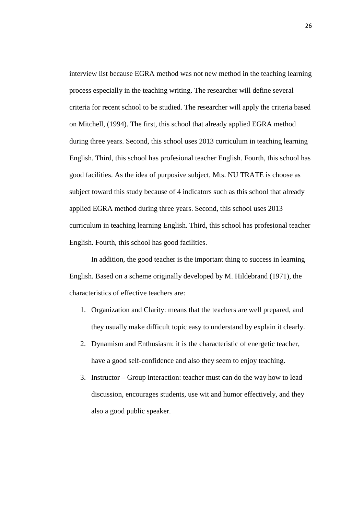interview list because EGRA method was not new method in the teaching learning process especially in the teaching writing. The researcher will define several criteria for recent school to be studied. The researcher will apply the criteria based on Mitchell, (1994). The first, this school that already applied EGRA method during three years. Second, this school uses 2013 curriculum in teaching learning English. Third, this school has profesional teacher English. Fourth, this school has good facilities. As the idea of purposive subject, Mts. NU TRATE is choose as subject toward this study because of 4 indicators such as this school that already applied EGRA method during three years. Second, this school uses 2013 curriculum in teaching learning English. Third, this school has profesional teacher English. Fourth, this school has good facilities.

In addition, the good teacher is the important thing to success in learning English. Based on a scheme originally developed by M. Hildebrand (1971), the characteristics of effective teachers are:

- 1. Organization and Clarity: means that the teachers are well prepared, and they usually make difficult topic easy to understand by explain it clearly.
- 2. Dynamism and Enthusiasm: it is the characteristic of energetic teacher, have a good self-confidence and also they seem to enjoy teaching.
- 3. Instructor Group interaction: teacher must can do the way how to lead discussion, encourages students, use wit and humor effectively, and they also a good public speaker.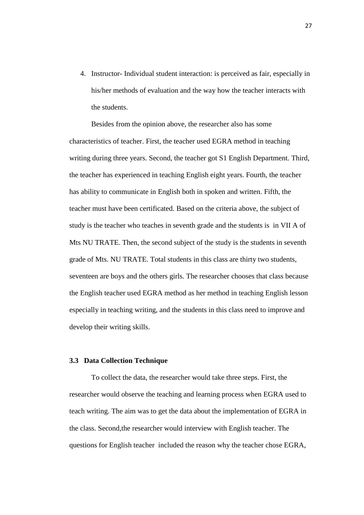4. Instructor- Individual student interaction: is perceived as fair, especially in his/her methods of evaluation and the way how the teacher interacts with the students.

Besides from the opinion above, the researcher also has some characteristics of teacher. First, the teacher used EGRA method in teaching writing during three years. Second, the teacher got S1 English Department. Third, the teacher has experienced in teaching English eight years. Fourth, the teacher has ability to communicate in English both in spoken and written. Fifth, the teacher must have been certificated. Based on the criteria above, the subject of study is the teacher who teaches in seventh grade and the students is in VII A of Mts NU TRATE. Then, the second subject of the study is the students in seventh grade of Mts. NU TRATE. Total students in this class are thirty two students, seventeen are boys and the others girls. The researcher chooses that class because the English teacher used EGRA method as her method in teaching English lesson especially in teaching writing, and the students in this class need to improve and develop their writing skills.

#### **3.3 Data Collection Technique**

 To collect the data, the researcher would take three steps. First, the researcher would observe the teaching and learning process when EGRA used to teach writing. The aim was to get the data about the implementation of EGRA in the class. Second,the researcher would interview with English teacher. The questions for English teacher included the reason why the teacher chose EGRA,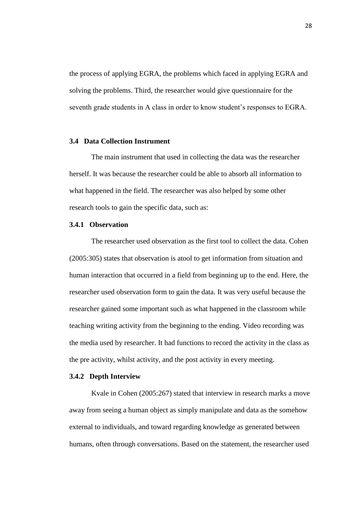the process of applying EGRA, the problems which faced in applying EGRA and solving the problems. Third, the researcher would give questionnaire for the seventh grade students in A class in order to know student's responses to EGRA.

#### **3.4 Data Collection Instrument**

 The main instrument that used in collecting the data was the researcher herself. It was because the researcher could be able to absorb all information to what happened in the field. The researcher was also helped by some other research tools to gain the specific data, such as:

# **3.4.1 Observation**

The researcher used observation as the first tool to collect the data. Cohen (2005:305) states that observation is atool to get information from situation and human interaction that occurred in a field from beginning up to the end. Here, the researcher used observation form to gain the data. It was very useful because the researcher gained some important such as what happened in the classroom while teaching writing activity from the beginning to the ending. Video recording was the media used by researcher. It had functions to record the activity in the class as the pre activity, whilst activity, and the post activity in every meeting.

#### **3.4.2 Depth Interview**

 Kvale in Cohen (2005:267) stated that interview in research marks a move away from seeing a human object as simply manipulate and data as the somehow external to individuals, and toward regarding knowledge as generated between humans, often through conversations. Based on the statement, the researcher used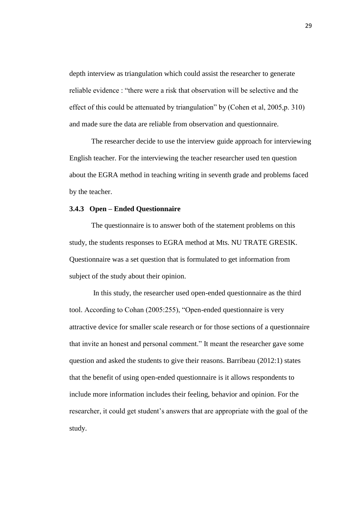depth interview as triangulation which could assist the researcher to generate reliable evidence : "there were a risk that observation will be selective and the effect of this could be attenuated by triangulation" by (Cohen et al, 2005,p. 310) and made sure the data are reliable from observation and questionnaire.

The researcher decide to use the interview guide approach for interviewing English teacher. For the interviewing the teacher researcher used ten question about the EGRA method in teaching writing in seventh grade and problems faced by the teacher.

#### **3.4.3 Open – Ended Questionnaire**

The questionnaire is to answer both of the statement problems on this study, the students responses to EGRA method at Mts. NU TRATE GRESIK. Questionnaire was a set question that is formulated to get information from subject of the study about their opinion.

In this study, the researcher used open-ended questionnaire as the third tool. According to Cohan (2005:255), "Open-ended questionnaire is very attractive device for smaller scale research or for those sections of a questionnaire that invite an honest and personal comment." It meant the researcher gave some question and asked the students to give their reasons. Barribeau (2012:1) states that the benefit of using open-ended questionnaire is it allows respondents to include more information includes their feeling, behavior and opinion. For the researcher, it could get student's answers that are appropriate with the goal of the study.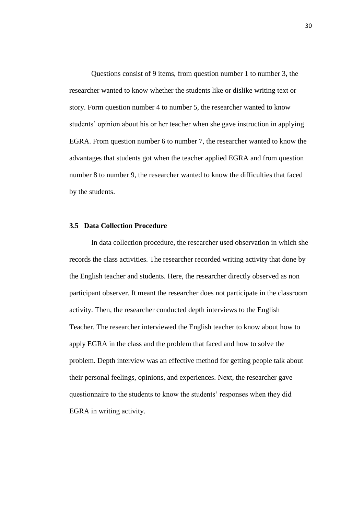Questions consist of 9 items, from question number 1 to number 3, the researcher wanted to know whether the students like or dislike writing text or story. Form question number 4 to number 5, the researcher wanted to know students' opinion about his or her teacher when she gave instruction in applying EGRA. From question number 6 to number 7, the researcher wanted to know the advantages that students got when the teacher applied EGRA and from question number 8 to number 9, the researcher wanted to know the difficulties that faced by the students.

## **3.5 Data Collection Procedure**

 In data collection procedure, the researcher used observation in which she records the class activities. The researcher recorded writing activity that done by the English teacher and students. Here, the researcher directly observed as non participant observer. It meant the researcher does not participate in the classroom activity. Then, the researcher conducted depth interviews to the English Teacher. The researcher interviewed the English teacher to know about how to apply EGRA in the class and the problem that faced and how to solve the problem. Depth interview was an effective method for getting people talk about their personal feelings, opinions, and experiences. Next, the researcher gave questionnaire to the students to know the students' responses when they did EGRA in writing activity.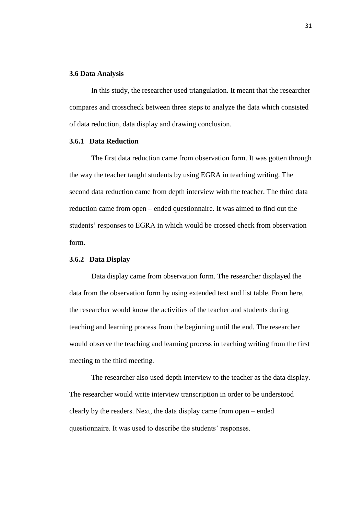#### **3.6 Data Analysis**

 In this study, the researcher used triangulation. It meant that the researcher compares and crosscheck between three steps to analyze the data which consisted of data reduction, data display and drawing conclusion.

### **3.6.1 Data Reduction**

 The first data reduction came from observation form. It was gotten through the way the teacher taught students by using EGRA in teaching writing. The second data reduction came from depth interview with the teacher. The third data reduction came from open – ended questionnaire. It was aimed to find out the students' responses to EGRA in which would be crossed check from observation form.

#### **3.6.2 Data Display**

 Data display came from observation form. The researcher displayed the data from the observation form by using extended text and list table. From here, the researcher would know the activities of the teacher and students during teaching and learning process from the beginning until the end. The researcher would observe the teaching and learning process in teaching writing from the first meeting to the third meeting.

 The researcher also used depth interview to the teacher as the data display. The researcher would write interview transcription in order to be understood clearly by the readers. Next, the data display came from open – ended questionnaire. It was used to describe the students' responses.